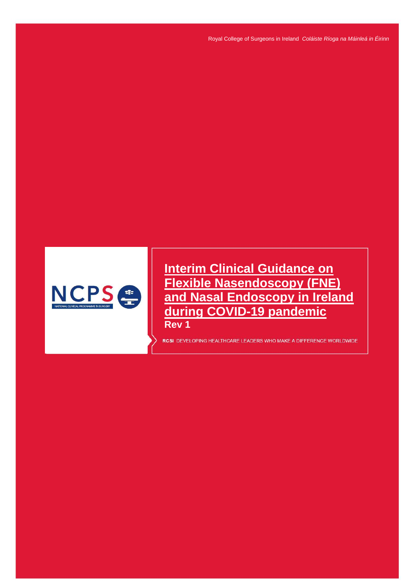

**Interim Clinical Guidance on Flexible Nasendoscopy (FNE) and Nasal Endoscopy in Ireland during COVID-19 pandemic Rev 1**

RCSI DEVELOPING HEALTHCARE LEADERS WHO MAKE A DIFFERENCE WORLDWIDE

*INTERIM CLINICAL GUIDANCE ON FLEXIBLE NASENDOSCOPY (FNE) AND NASAL ENDOSCOPY IN IRELAND DURING COVID-19 PANDEMIC Rev*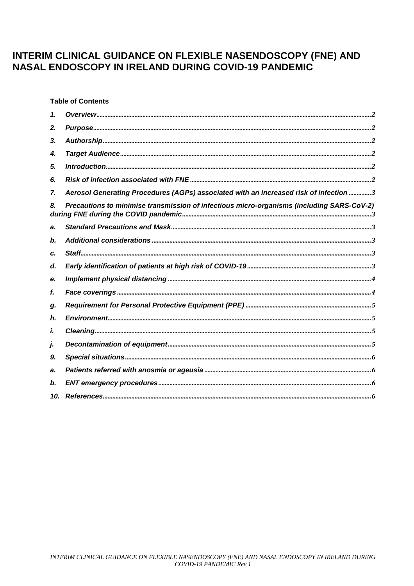# INTERIM CLINICAL GUIDANCE ON FLEXIBLE NASENDOSCOPY (FNE) AND **NASAL ENDOSCOPY IN IRELAND DURING COVID-19 PANDEMIC**

**Table of Contents** 

| 2.  |                                                                                           |  |
|-----|-------------------------------------------------------------------------------------------|--|
| 3.  |                                                                                           |  |
| 4.  |                                                                                           |  |
| 5.  |                                                                                           |  |
| 6.  |                                                                                           |  |
| 7.  | Aerosol Generating Procedures (AGPs) associated with an increased risk of infection 3     |  |
| 8.  | Precautions to minimise transmission of infectious micro-organisms (including SARS-CoV-2) |  |
| a.  |                                                                                           |  |
| b.  |                                                                                           |  |
| c.  |                                                                                           |  |
| d.  |                                                                                           |  |
| е.  |                                                                                           |  |
| f.  |                                                                                           |  |
| g.  |                                                                                           |  |
| h.  |                                                                                           |  |
| i.  |                                                                                           |  |
| j.  |                                                                                           |  |
| 9.  |                                                                                           |  |
| a.  |                                                                                           |  |
| b.  |                                                                                           |  |
| 10. |                                                                                           |  |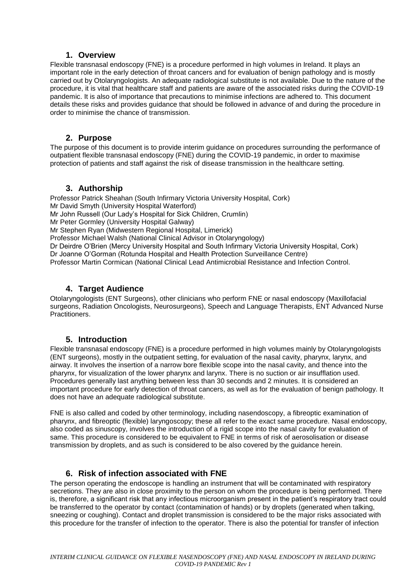### **1. Overview**

<span id="page-2-0"></span>Flexible transnasal endoscopy (FNE) is a procedure performed in high volumes in Ireland. It plays an important role in the early detection of throat cancers and for evaluation of benign pathology and is mostly carried out by Otolaryngologists. An adequate radiological substitute is not available. Due to the nature of the procedure, it is vital that healthcare staff and patients are aware of the associated risks during the COVID-19 pandemic. It is also of importance that precautions to minimise infections are adhered to. This document details these risks and provides guidance that should be followed in advance of and during the procedure in order to minimise the chance of transmission.

### **2. Purpose**

<span id="page-2-1"></span>The purpose of this document is to provide interim guidance on procedures surrounding the performance of outpatient flexible transnasal endoscopy (FNE) during the COVID-19 pandemic, in order to maximise protection of patients and staff against the risk of disease transmission in the healthcare setting.

## **3. Authorship**

<span id="page-2-2"></span>Professor Patrick Sheahan (South Infirmary Victoria University Hospital, Cork) Mr David Smyth (University Hospital Waterford) Mr John Russell (Our Lady's Hospital for Sick Children, Crumlin) Mr Peter Gormley (University Hospital Galway) Mr Stephen Ryan (Midwestern Regional Hospital, Limerick) Professor Michael Walsh (National Clinical Advisor in Otolaryngology) Dr Deirdre O'Brien (Mercy University Hospital and South Infirmary Victoria University Hospital, Cork) Dr Joanne O'Gorman (Rotunda Hospital and Health Protection Surveillance Centre) Professor Martin Cormican (National Clinical Lead Antimicrobial Resistance and Infection Control.

# **4. Target Audience**

<span id="page-2-3"></span>Otolaryngologists (ENT Surgeons), other clinicians who perform FNE or nasal endoscopy (Maxillofacial surgeons, Radiation Oncologists, Neurosurgeons), Speech and Language Therapists, ENT Advanced Nurse Practitioners.

## **5. Introduction**

<span id="page-2-4"></span>Flexible transnasal endoscopy (FNE) is a procedure performed in high volumes mainly by Otolaryngologists (ENT surgeons), mostly in the outpatient setting, for evaluation of the nasal cavity, pharynx, larynx, and airway. It involves the insertion of a narrow bore flexible scope into the nasal cavity, and thence into the pharynx, for visualization of the lower pharynx and larynx. There is no suction or air insufflation used. Procedures generally last anything between less than 30 seconds and 2 minutes. It is considered an important procedure for early detection of throat cancers, as well as for the evaluation of benign pathology. It does not have an adequate radiological substitute.

FNE is also called and coded by other terminology, including nasendoscopy, a fibreoptic examination of pharynx, and fibreoptic (flexible) laryngoscopy; these all refer to the exact same procedure. Nasal endoscopy, also coded as sinuscopy, involves the introduction of a rigid scope into the nasal cavity for evaluation of same. This procedure is considered to be equivalent to FNE in terms of risk of aerosolisation or disease transmission by droplets, and as such is considered to be also covered by the guidance herein.

## **6. Risk of infection associated with FNE**

<span id="page-2-5"></span>The person operating the endoscope is handling an instrument that will be contaminated with respiratory secretions. They are also in close proximity to the person on whom the procedure is being performed. There is, therefore, a significant risk that any infectious microorganism present in the patient's respiratory tract could be transferred to the operator by contact (contamination of hands) or by droplets (generated when talking, sneezing or coughing). Contact and droplet transmission is considered to be the major risks associated with this procedure for the transfer of infection to the operator. There is also the potential for transfer of infection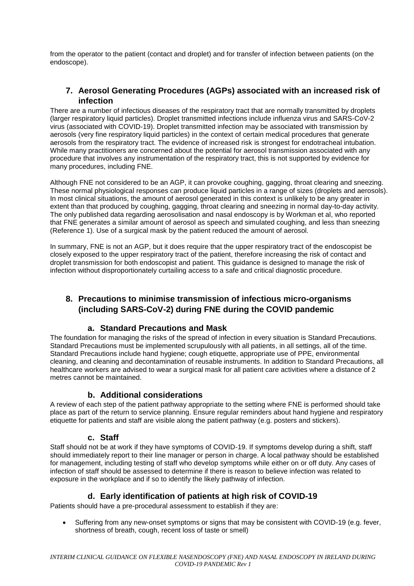from the operator to the patient (contact and droplet) and for transfer of infection between patients (on the endoscope).

# <span id="page-3-0"></span>**7. Aerosol Generating Procedures (AGPs) associated with an increased risk of infection**

There are a number of infectious diseases of the respiratory tract that are normally transmitted by droplets (larger respiratory liquid particles). Droplet transmitted infections include influenza virus and SARS-CoV-2 virus (associated with COVID-19). Droplet transmitted infection may be associated with transmission by aerosols (very fine respiratory liquid particles) in the context of certain medical procedures that generate aerosols from the respiratory tract. The evidence of increased risk is strongest for endotracheal intubation. While many practitioners are concerned about the potential for aerosol transmission associated with any procedure that involves any instrumentation of the respiratory tract, this is not supported by evidence for many procedures, including FNE.

Although FNE not considered to be an AGP, it can provoke coughing, gagging, throat clearing and sneezing. These normal physiological responses can produce liquid particles in a range of sizes (droplets and aerosols). In most clinical situations, the amount of aerosol generated in this context is unlikely to be any greater in extent than that produced by coughing, gagging, throat clearing and sneezing in normal day-to-day activity. The only published data regarding aerosolisation and nasal endoscopy is by Workman et al, who reported that FNE generates a similar amount of aerosol as speech and simulated coughing, and less than sneezing (Reference 1). Use of a surgical mask by the patient reduced the amount of aerosol.

In summary, FNE is not an AGP, but it does require that the upper respiratory tract of the endoscopist be closely exposed to the upper respiratory tract of the patient, therefore increasing the risk of contact and droplet transmission for both endoscopist and patient. This guidance is designed to manage the risk of infection without disproportionately curtailing access to a safe and critical diagnostic procedure.

# <span id="page-3-1"></span>**8. Precautions to minimise transmission of infectious micro-organisms (including SARS-CoV-2) during FNE during the COVID pandemic**

# **a. Standard Precautions and Mask**

<span id="page-3-2"></span>The foundation for managing the risks of the spread of infection in every situation is Standard Precautions. Standard Precautions must be implemented scrupulously with all patients, in all settings, all of the time. Standard Precautions include hand hygiene; cough etiquette, appropriate use of PPE, environmental cleaning, and cleaning and decontamination of reusable instruments. In addition to Standard Precautions, all healthcare workers are advised to wear a surgical mask for all patient care activities where a distance of 2 metres cannot be maintained.

# **b. Additional considerations**

<span id="page-3-3"></span>A review of each step of the patient pathway appropriate to the setting where FNE is performed should take place as part of the return to service planning. Ensure regular reminders about hand hygiene and respiratory etiquette for patients and staff are visible along the patient pathway (e.g. posters and stickers).

## **c. Staff**

<span id="page-3-4"></span>Staff should not be at work if they have symptoms of COVID-19. If symptoms develop during a shift, staff should immediately report to their line manager or person in charge. A local pathway should be established for management, including testing of staff who develop symptoms while either on or off duty. Any cases of infection of staff should be assessed to determine if there is reason to believe infection was related to exposure in the workplace and if so to identify the likely pathway of infection.

# **d. Early identification of patients at high risk of COVID-19**

<span id="page-3-5"></span>Patients should have a pre-procedural assessment to establish if they are:

 Suffering from any new-onset symptoms or signs that may be consistent with COVID-19 (e.g. fever, shortness of breath, cough, recent loss of taste or smell)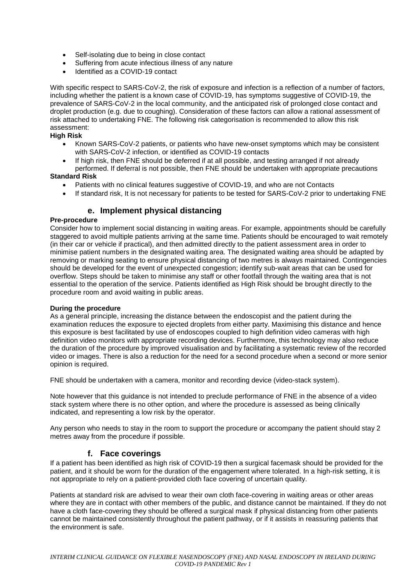- Self-isolating due to being in close contact
- Suffering from acute infectious illness of any nature
- Identified as a COVID-19 contact

With specific respect to SARS-CoV-2, the risk of exposure and infection is a reflection of a number of factors, including whether the patient is a known case of COVID-19, has symptoms suggestive of COVID-19, the prevalence of SARS-CoV-2 in the local community, and the anticipated risk of prolonged close contact and droplet production (e.g. due to coughing). Consideration of these factors can allow a rational assessment of risk attached to undertaking FNE. The following risk categorisation is recommended to allow this risk assessment:

### **High Risk**

- Known SARS-CoV-2 patients, or patients who have new-onset symptoms which may be consistent with SARS-CoV-2 infection, or identified as COVID-19 contacts
- If high risk, then FNE should be deferred if at all possible, and testing arranged if not already performed. If deferral is not possible, then FNE should be undertaken with appropriate precautions

#### **Standard Risk**

- Patients with no clinical features suggestive of COVID-19, and who are not Contacts
- If standard risk, It is not necessary for patients to be tested for SARS-CoV-2 prior to undertaking FNE

# **e. Implement physical distancing**

#### <span id="page-4-0"></span>**Pre-procedure**

Consider how to implement social distancing in waiting areas. For example, appointments should be carefully staggered to avoid multiple patients arriving at the same time. Patients should be encouraged to wait remotely (in their car or vehicle if practical), and then admitted directly to the patient assessment area in order to minimise patient numbers in the designated waiting area. The designated waiting area should be adapted by removing or marking seating to ensure physical distancing of two metres is always maintained. Contingencies should be developed for the event of unexpected congestion; identify sub-wait areas that can be used for overflow. Steps should be taken to minimise any staff or other footfall through the waiting area that is not essential to the operation of the service. Patients identified as High Risk should be brought directly to the procedure room and avoid waiting in public areas.

#### **During the procedure**

As a general principle, increasing the distance between the endoscopist and the patient during the examination reduces the exposure to ejected droplets from either party. Maximising this distance and hence this exposure is best facilitated by use of endoscopes coupled to high definition video cameras with high definition video monitors with appropriate recording devices. Furthermore, this technology may also reduce the duration of the procedure by improved visualisation and by facilitating a systematic review of the recorded video or images. There is also a reduction for the need for a second procedure when a second or more senior opinion is required.

FNE should be undertaken with a camera, monitor and recording device (video-stack system).

Note however that this guidance is not intended to preclude performance of FNE in the absence of a video stack system where there is no other option, and where the procedure is assessed as being clinically indicated, and representing a low risk by the operator.

<span id="page-4-1"></span>Any person who needs to stay in the room to support the procedure or accompany the patient should stay 2 metres away from the procedure if possible.

## **f. Face coverings**

If a patient has been identified as high risk of COVID-19 then a surgical facemask should be provided for the patient, and it should be worn for the duration of the engagement where tolerated. In a high-risk setting, it is not appropriate to rely on a patient-provided cloth face covering of uncertain quality.

Patients at standard risk are advised to wear their own cloth face-covering in waiting areas or other areas where they are in contact with other members of the public, and distance cannot be maintained. If they do not have a cloth face-covering they should be offered a surgical mask if physical distancing from other patients cannot be maintained consistently throughout the patient pathway, or if it assists in reassuring patients that the environment is safe.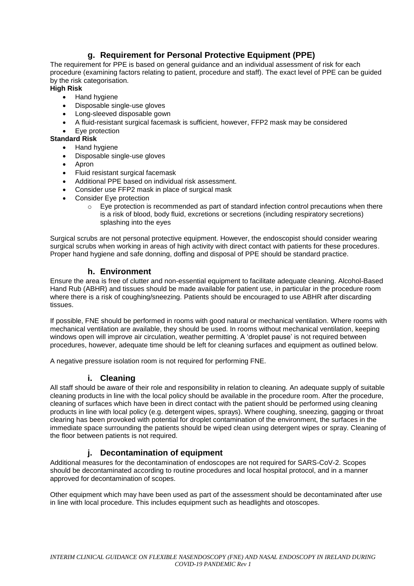# **g. Requirement for Personal Protective Equipment (PPE)**

<span id="page-5-0"></span>The requirement for PPE is based on general guidance and an individual assessment of risk for each procedure (examining factors relating to patient, procedure and staff). The exact level of PPE can be guided by the risk categorisation.

# **High Risk**

- Hand hygiene
- Disposable single-use gloves
- Long-sleeved disposable gown
- A fluid-resistant surgical facemask is sufficient, however, FFP2 mask may be considered
- Eye protection

### **Standard Risk**

- Hand hygiene
- Disposable single-use gloves
- Apron
- Fluid resistant surgical facemask
- Additional PPE based on individual risk assessment.
- Consider use FFP2 mask in place of surgical mask
- Consider Eye protection
	- $\circ$  Eye protection is recommended as part of standard infection control precautions when there is a risk of blood, body fluid, excretions or secretions (including respiratory secretions) splashing into the eyes

Surgical scrubs are not personal protective equipment. However, the endoscopist should consider wearing surgical scrubs when working in areas of high activity with direct contact with patients for these procedures. Proper hand hygiene and safe donning, doffing and disposal of PPE should be standard practice.

## **h. Environment**

<span id="page-5-1"></span>Ensure the area is free of clutter and non-essential equipment to facilitate adequate cleaning. Alcohol-Based Hand Rub (ABHR) and tissues should be made available for patient use, in particular in the procedure room where there is a risk of coughing/sneezing. Patients should be encouraged to use ABHR after discarding tissues.

If possible, FNE should be performed in rooms with good natural or mechanical ventilation. Where rooms with mechanical ventilation are available, they should be used. In rooms without mechanical ventilation, keeping windows open will improve air circulation, weather permitting. A 'droplet pause' is not required between procedures, however, adequate time should be left for cleaning surfaces and equipment as outlined below.

<span id="page-5-2"></span>A negative pressure isolation room is not required for performing FNE.

# **i. Cleaning**

All staff should be aware of their role and responsibility in relation to cleaning. An adequate supply of suitable cleaning products in line with the local policy should be available in the procedure room. After the procedure, cleaning of surfaces which have been in direct contact with the patient should be performed using cleaning products in line with local policy (e.g. detergent wipes, sprays). Where coughing, sneezing, gagging or throat clearing has been provoked with potential for droplet contamination of the environment, the surfaces in the immediate space surrounding the patients should be wiped clean using detergent wipes or spray. Cleaning of the floor between patients is not required.

# **j. Decontamination of equipment**

<span id="page-5-3"></span>Additional measures for the decontamination of endoscopes are not required for SARS-CoV-2. Scopes should be decontaminated according to routine procedures and local hospital protocol, and in a manner approved for decontamination of scopes.

Other equipment which may have been used as part of the assessment should be decontaminated after use in line with local procedure. This includes equipment such as headlights and otoscopes.